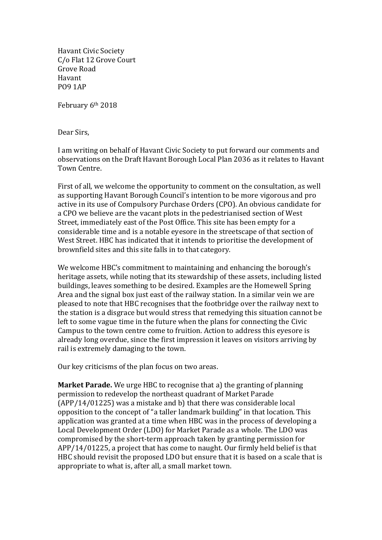Havant Civic Society C/o Flat 12 Grove Court Grove Road Havant PO9 1AP

February 6th 2018

Dear Sirs,

I am writing on behalf of Havant Civic Society to put forward our comments and observations on the Draft Havant Borough Local Plan 2036 as it relates to Havant Town Centre.

First of all, we welcome the opportunity to comment on the consultation, as well as supporting Havant Borough Council's intention to be more vigorous and pro active in its use of Compulsory Purchase Orders (CPO). An obvious candidate for a CPO we believe are the vacant plots in the pedestrianised section of West Street, immediately east of the Post Office. This site has been empty for a considerable time and is a notable eyesore in the streetscape of that section of West Street. HBC has indicated that it intends to prioritise the development of brownfield sites and this site falls in to that category.

We welcome HBC's commitment to maintaining and enhancing the borough's heritage assets, while noting that its stewardship of these assets, including listed buildings, leaves something to be desired. Examples are the Homewell Spring Area and the signal box just east of the railway station. In a similar vein we are pleased to note that HBC recognises that the footbridge over the railway next to the station is a disgrace but would stress that remedying this situation cannot be left to some vague time in the future when the plans for connecting the Civic Campus to the town centre come to fruition. Action to address this eyesore is already long overdue, since the first impression it leaves on visitors arriving by rail is extremely damaging to the town.

Our key criticisms of the plan focus on two areas.

**Market Parade.** We urge HBC to recognise that a) the granting of planning permission to redevelop the northeast quadrant of Market Parade (APP/14/01225) was a mistake and b) that there was considerable local opposition to the concept of "a taller landmark building" in that location. This application was granted at a time when HBC was in the process of developing a Local Development Order (LDO) for Market Parade as a whole. The LDO was compromised by the short-term approach taken by granting permission for APP/14/01225, a project that has come to naught. Our firmly held belief is that HBC should revisit the proposed LDO but ensure that it is based on a scale that is appropriate to what is, after all, a small market town.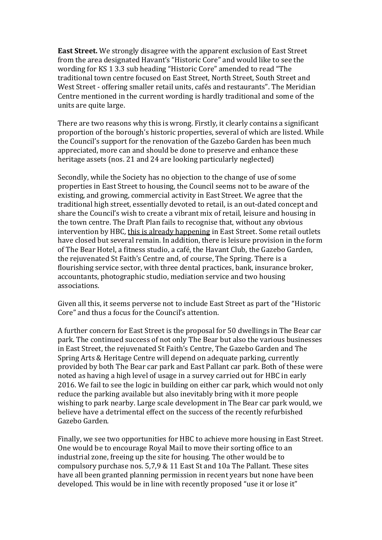**East Street.** We strongly disagree with the apparent exclusion of East Street from the area designated Havant's "Historic Core" and would like to see the wording for KS 1 3.3 sub heading "Historic Core" amended to read "The traditional town centre focused on East Street, North Street, South Street and West Street - offering smaller retail units, cafés and restaurants". The Meridian Centre mentioned in the current wording is hardly traditional and some of the units are quite large.

There are two reasons why this is wrong. Firstly, it clearly contains a significant proportion of the borough's historic properties, several of which are listed. While the Council's support for the renovation of the Gazebo Garden has been much appreciated, more can and should be done to preserve and enhance these heritage assets (nos. 21 and 24 are looking particularly neglected)

Secondly, while the Society has no objection to the change of use of some properties in East Street to housing, the Council seems not to be aware of the existing, and growing, commercial activity in East Street. We agree that the traditional high street, essentially devoted to retail, is an out-dated concept and share the Council's wish to create a vibrant mix of retail, leisure and housing in the town centre. The Draft Plan fails to recognise that, without any obvious intervention by HBC*,* this is already happening in East Street. Some retail outlets have closed but several remain. In addition, there is leisure provision in the form of The Bear Hotel, a fitness studio, a café, the Havant Club, the Gazebo Garden, the rejuvenated St Faith's Centre and, of course, The Spring. There is a flourishing service sector, with three dental practices, bank, insurance broker, accountants, photographic studio, mediation service and two housing associations.

Given all this, it seems perverse not to include East Street as part of the "Historic Core" and thus a focus for the Council's attention.

A further concern for East Street is the proposal for 50 dwellings in The Bear car park. The continued success of not only The Bear but also the various businesses in East Street, the rejuvenated St Faith's Centre, The Gazebo Garden and The Spring Arts & Heritage Centre will depend on adequate parking, currently provided by both The Bear car park and East Pallant car park. Both of these were noted as having a high level of usage in a survey carried out for HBC in early 2016. We fail to see the logic in building on either car park, which would not only reduce the parking available but also inevitably bring with it more people wishing to park nearby. Large scale development in The Bear car park would, we believe have a detrimental effect on the success of the recently refurbished Gazebo Garden.

Finally, we see two opportunities for HBC to achieve more housing in East Street. One would be to encourage Royal Mail to move their sorting office to an industrial zone, freeing up the site for housing. The other would be to compulsory purchase nos. 5,7,9 & 11 East St and 10a The Pallant. These sites have all been granted planning permission in recent years but none have been developed. This would be in line with recently proposed "use it or lose it"